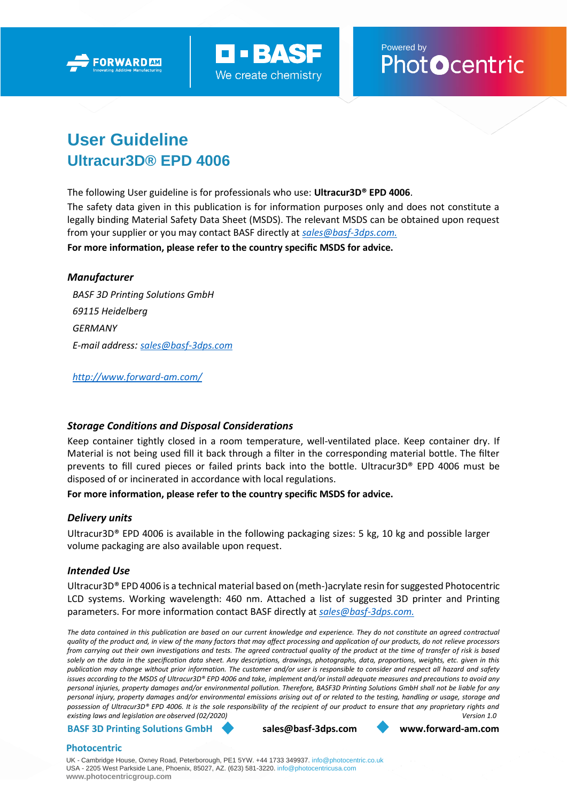



Powered by<br>Phot**O**centric

# **User Guideline Ultracur3D® EPD 4006**

The following User guideline is for professionals who use: **Ultracur3D® EPD 4006**.

The safety data given in this publication is for information purposes only and does not constitute a legally binding Material Safety Data Sheet (MSDS). The relevant MSDS can be obtained upon request from your supplier or you may contact BASF directly at *[sales@basf-3dps.com.](mailto:sales@basf-3dps.com)* **For more information, please refer to the country specific MSDS for advice.**

# *Manufacturer*

*BASF 3D Printing Solutions GmbH 69115 Heidelberg GERMANY E-mail address: [sales@basf-3dps.com](mailto:sales@basf-3dps.com)*

*<http://www.forward-am.com/>*

# *Storage Conditions and Disposal Considerations*

Keep container tightly closed in a room temperature, well-ventilated place. Keep container dry. If Material is not being used fill it back through a filter in the corresponding material bottle. The filter prevents to fill cured pieces or failed prints back into the bottle. Ultracur3D® EPD 4006 must be disposed of or incinerated in accordance with local regulations.

# **For more information, please refer to the country specific MSDS for advice.**

# *Delivery units*

Ultracur3D® EPD 4006 is available in the following packaging sizes: 5 kg, 10 kg and possible larger volume packaging are also available upon request.

# *Intended Use*

Ultracur3D® EPD 4006 is a technical material based on (meth-)acrylate resin for suggested Photocentric LCD systems. Working wavelength: 460 nm. Attached a list of suggested 3D printer and Printing parameters. For more information contact BASF directly at *[sales@basf-3dps.com.](mailto:sales@basf-3dps.com)*

*The data contained in this publication are based on our current knowledge and experience. They do not constitute an agreed contractual quality of the product and, in view of the many factors that may affect processing and application of our products, do not relieve processors from carrying out their own investigations and tests. The agreed contractual quality of the product at the time of transfer of risk is based solely on the data in the specification data sheet. Any descriptions, drawings, photographs, data, proportions, weights, etc. given in this publication may change without prior information. The customer and/or user is responsible to consider and respect all hazard and safety issues according to the MSDS of Ultracur3D® EPD 4006 and take, implement and/or install adequate measures and precautions to avoid any personal injuries, property damages and/or environmental pollution. Therefore, BASF3D Printing Solutions GmbH shall not be liable for any personal injury, property damages and/or environmental emissions arising out of or related to the testing, handling or usage, storage and possession of Ultracur3D® EPD 4006. It is the sole responsibility of the recipient of our product to ensure that any proprietary rights and existing laws and legislation are observed (02/2020) Version 1.0*

**BASF 3D Printing Solutions GmbH [sales@basf-3dps.com](mailto:sales@basf-3dps.com) [www.forward-am.com](http://www.forward-am.com/)**

#### **Photocentric**

UK - Cambridge House, Oxney Road, Peterborough, PE1 5YW. +44 1733 349937. [info@photocentric.co.uk](mailto:info@photocentric.co.uk) USA - 2205 West Parkside Lane, Phoenix, 85027, AZ. (623) 581-3220[. info@photocentricusa.com](mailto:info@photocentricusa.com) **[www.photocentricgroup.com](http://www.photocentricgroup.com/)**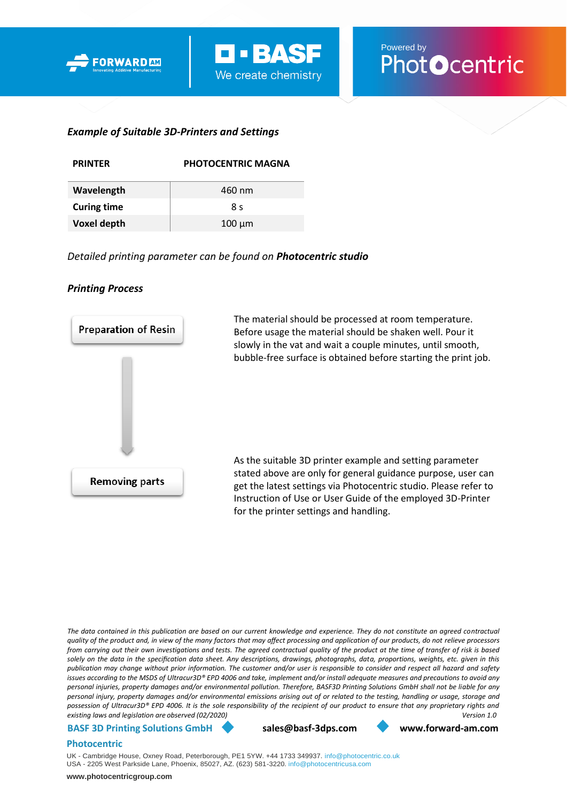



# *Example of Suitable 3D-Printers and Settings*

| <b>PRINTFR</b>     | <b>PHOTOCENTRIC MAGNA</b> |
|--------------------|---------------------------|
| Wavelength         | 460 nm                    |
| <b>Curing time</b> | 8 s                       |
| <b>Voxel depth</b> | $100 \mu m$               |

*Detailed printing parameter can be found on Photocentric studio* 

### *Printing Process*



*The data contained in this publication are based on our current knowledge and experience. They do not constitute an agreed contractual quality of the product and, in view of the many factors that may affect processing and application of our products, do not relieve processors from carrying out their own investigations and tests. The agreed contractual quality of the product at the time of transfer of risk is based solely on the data in the specification data sheet. Any descriptions, drawings, photographs, data, proportions, weights, etc. given in this publication may change without prior information. The customer and/or user is responsible to consider and respect all hazard and safety issues according to the MSDS of Ultracur3D® EPD 4006 and take, implement and/or install adequate measures and precautions to avoid any personal injuries, property damages and/or environmental pollution. Therefore, BASF3D Printing Solutions GmbH shall not be liable for any personal injury, property damages and/or environmental emissions arising out of or related to the testing, handling or usage, storage and possession of Ultracur3D® EPD 4006. It is the sole responsibility of the recipient of our product to ensure that any proprietary rights and existing laws and legislation are observed (02/2020) Version 1.0*

#### **BASF 3D Printing Solutions GmbH [sales@basf-3dps.com](mailto:sales@basf-3dps.com) [www.forward-am.com](http://www.forward-am.com/)**

#### **Photocentric**

UK - Cambridge House, Oxney Road, Peterborough, PE1 5YW. +44 1733 349937. [info@photocentric.co.uk](mailto:info@photocentric.co.uk) USA - 2205 West Parkside Lane, Phoenix, 85027, AZ. (623) 581-3220. [info@photocentricusa.com](mailto:info@photocentricusa.com)

**[www.photocentricgroup.com](http://www.photocentricgroup.com/)**